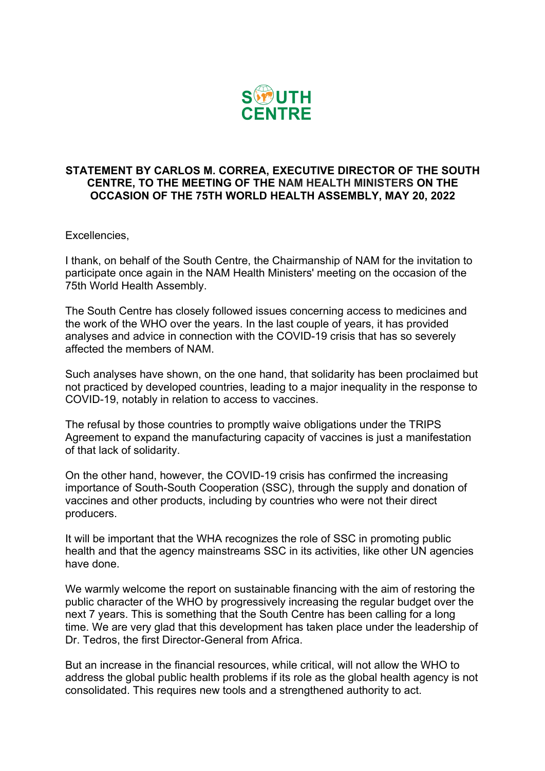

## **STATEMENT BY CARLOS M. CORREA, EXECUTIVE DIRECTOR OF THE SOUTH CENTRE, TO THE MEETING OF THE NAM HEALTH MINISTERS ON THE OCCASION OF THE 75TH WORLD HEALTH ASSEMBLY, MAY 20, 2022**

Excellencies,

I thank, on behalf of the South Centre, the Chairmanship of NAM for the invitation to participate once again in the NAM Health Ministers' meeting on the occasion of the 75th World Health Assembly.

The South Centre has closely followed issues concerning access to medicines and the work of the WHO over the years. In the last couple of years, it has provided analyses and advice in connection with the COVID-19 crisis that has so severely affected the members of NAM.

Such analyses have shown, on the one hand, that solidarity has been proclaimed but not practiced by developed countries, leading to a major inequality in the response to COVID-19, notably in relation to access to vaccines.

The refusal by those countries to promptly waive obligations under the TRIPS Agreement to expand the manufacturing capacity of vaccines is just a manifestation of that lack of solidarity.

On the other hand, however, the COVID-19 crisis has confirmed the increasing importance of South-South Cooperation (SSC), through the supply and donation of vaccines and other products, including by countries who were not their direct producers.

It will be important that the WHA recognizes the role of SSC in promoting public health and that the agency mainstreams SSC in its activities, like other UN agencies have done.

We warmly welcome the report on sustainable financing with the aim of restoring the public character of the WHO by progressively increasing the regular budget over the next 7 years. This is something that the South Centre has been calling for a long time. We are very glad that this development has taken place under the leadership of Dr. Tedros, the first Director-General from Africa.

But an increase in the financial resources, while critical, will not allow the WHO to address the global public health problems if its role as the global health agency is not consolidated. This requires new tools and a strengthened authority to act.